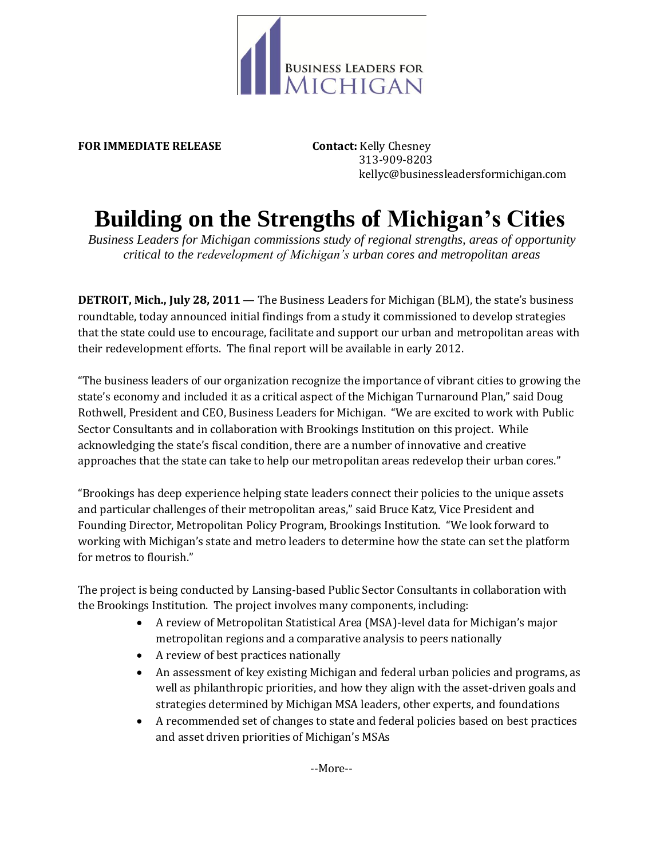

**FOR IMMEDIATE RELEASE Contact:** Kelly Chesney

 313-909-8203 kellyc@businessleadersformichigan.com

## **Building on the Strengths of Michigan's Cities**

*Business Leaders for Michigan commissions study of regional strengths, areas of opportunity critical to the redevelopment of Michigan's urban cores and metropolitan areas*

**DETROIT, Mich., July 28, 2011** — The Business Leaders for Michigan (BLM), the state's business roundtable, today announced initial findings from a study it commissioned to develop strategies that the state could use to encourage, facilitate and support our urban and metropolitan areas with their redevelopment efforts. The final report will be available in early 2012.

"The business leaders of our organization recognize the importance of vibrant cities to growing the state's economy and included it as a critical aspect of the Michigan Turnaround Plan," said Doug Rothwell, President and CEO, Business Leaders for Michigan. "We are excited to work with Public Sector Consultants and in collaboration with Brookings Institution on this project. While acknowledging the state's fiscal condition, there are a number of innovative and creative approaches that the state can take to help our metropolitan areas redevelop their urban cores."

"Brookings has deep experience helping state leaders connect their policies to the unique assets and particular challenges of their metropolitan areas," said Bruce Katz, Vice President and Founding Director, Metropolitan Policy Program, Brookings Institution. "We look forward to working with Michigan's state and metro leaders to determine how the state can set the platform for metros to flourish."

The project is being conducted by Lansing-based Public Sector Consultants in collaboration with the Brookings Institution. The project involves many components, including:

- A review of Metropolitan Statistical Area (MSA)-level data for Michigan's major metropolitan regions and a comparative analysis to peers nationally
- A review of best practices nationally
- An assessment of key existing Michigan and federal urban policies and programs, as well as philanthropic priorities, and how they align with the asset-driven goals and strategies determined by Michigan MSA leaders, other experts, and foundations
- A recommended set of changes to state and federal policies based on best practices and asset driven priorities of Michigan's MSAs

--More--